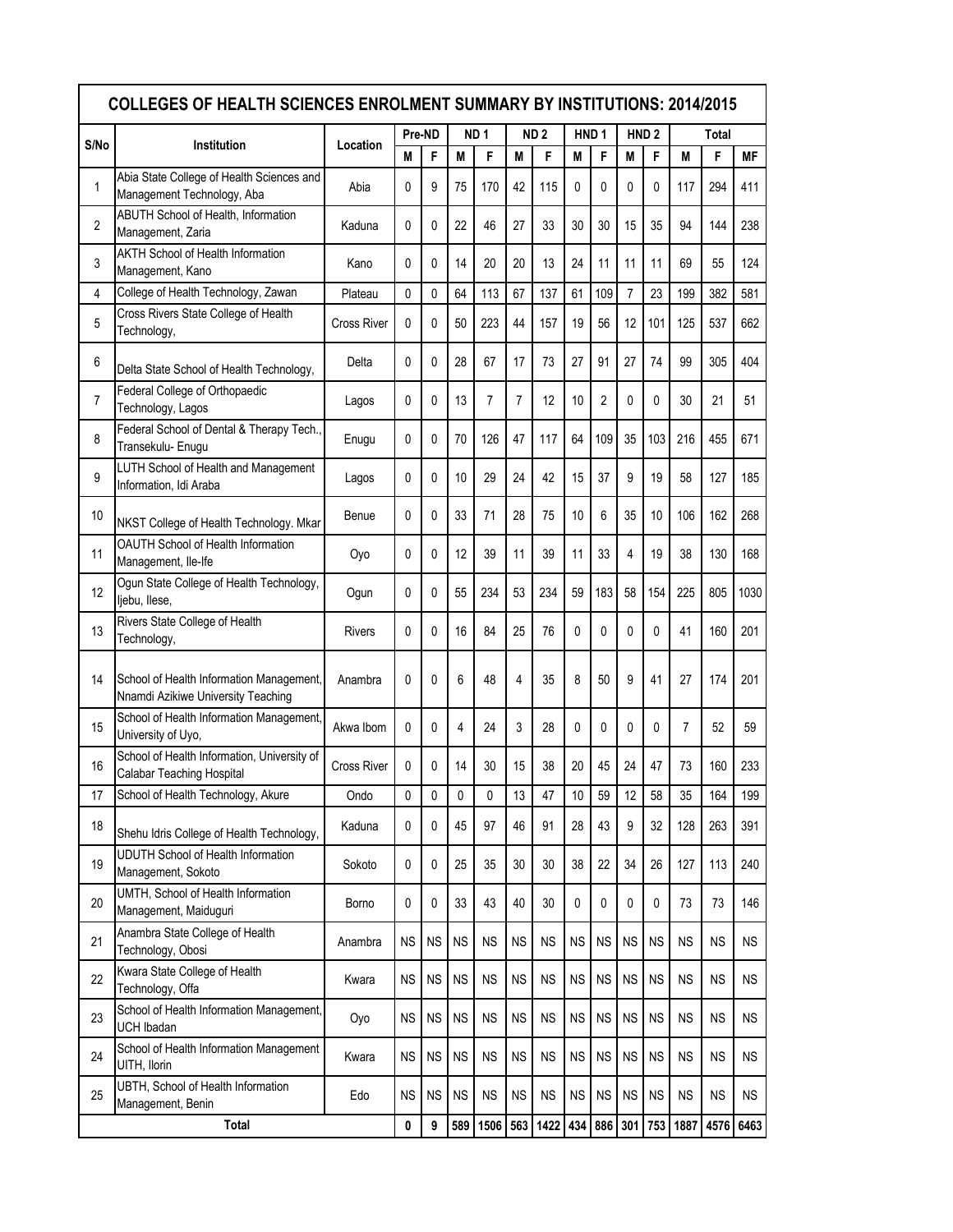|                | <b>COLLEGES OF HEALTH SCIENCES ENROLMENT SUMMARY BY INSTITUTIONS: 2014/2015</b><br>Pre-ND<br>ND <sub>2</sub><br>HND <sub>1</sub><br>ND <sub>1</sub><br>HND <sub>2</sub><br><b>Total</b> |                    |           |           |           |           |                |           |           |                |           |           |                |           |           |
|----------------|-----------------------------------------------------------------------------------------------------------------------------------------------------------------------------------------|--------------------|-----------|-----------|-----------|-----------|----------------|-----------|-----------|----------------|-----------|-----------|----------------|-----------|-----------|
| S/No           | Institution                                                                                                                                                                             | Location           |           |           |           |           |                |           |           |                |           |           |                |           |           |
|                |                                                                                                                                                                                         |                    | М         | F         | M         | F         | M              | F         | М         | F              | М         | F         | М              | F         | <b>MF</b> |
| 1              | Abia State College of Health Sciences and<br>Management Technology, Aba                                                                                                                 | Abia               | 0         | 9         | 75        | 170       | 42             | 115       | 0         | 0              | 0         | 0         | 117            | 294       | 411       |
| $\overline{2}$ | ABUTH School of Health, Information<br>Management, Zaria                                                                                                                                | Kaduna             | 0         | 0         | 22        | 46        | 27             | 33        | 30        | 30             | 15        | 35        | 94             | 144       | 238       |
| 3              | <b>AKTH School of Health Information</b><br>Management, Kano                                                                                                                            | Kano               | 0         | 0         | 14        | 20        | 20             | 13        | 24        | 11             | 11        | 11        | 69             | 55        | 124       |
| 4              | College of Health Technology, Zawan                                                                                                                                                     | Plateau            | 0         | 0         | 64        | 113       | 67             | 137       | 61        | 109            | 7         | 23        | 199            | 382       | 581       |
| 5              | Cross Rivers State College of Health<br>Technology,                                                                                                                                     | <b>Cross River</b> | 0         | 0         | 50        | 223       | 44             | 157       | 19        | 56             | 12        | 101       | 125            | 537       | 662       |
| 6              | Delta State School of Health Technology,                                                                                                                                                | Delta              | 0         | 0         | 28        | 67        | 17             | 73        | 27        | 91             | 27        | 74        | 99             | 305       | 404       |
| 7              | Federal College of Orthopaedic<br>Technology, Lagos                                                                                                                                     | Lagos              | 0         | 0         | 13        | 7         | $\overline{7}$ | 12        | 10        | $\overline{2}$ | 0         | 0         | 30             | 21        | 51        |
| 8              | Federal School of Dental & Therapy Tech.,<br>Transekulu- Enugu                                                                                                                          | Enugu              | 0         | 0         | 70        | 126       | 47             | 117       | 64        | 109            | 35        | 103       | 216            | 455       | 671       |
| 9              | LUTH School of Health and Management<br>Information, Idi Araba                                                                                                                          | Lagos              | 0         | 0         | 10        | 29        | 24             | 42        | 15        | 37             | 9         | 19        | 58             | 127       | 185       |
| 10             | NKST College of Health Technology. Mkar                                                                                                                                                 | Benue              | 0         | 0         | 33        | 71        | 28             | 75        | 10        | 6              | 35        | 10        | 106            | 162       | 268       |
| 11             | OAUTH School of Health Information<br>Management, Ile-Ife                                                                                                                               | Oyo                | 0         | 0         | 12        | 39        | 11             | 39        | 11        | 33             | 4         | 19        | 38             | 130       | 168       |
| 12             | Ogun State College of Health Technology,<br>liebu, Ilese,                                                                                                                               | Ogun               | 0         | 0         | 55        | 234       | 53             | 234       | 59        | 183            | 58        | 154       | 225            | 805       | 1030      |
| 13             | Rivers State College of Health<br>Technology,                                                                                                                                           | <b>Rivers</b>      | $\Omega$  | 0         | 16        | 84        | 25             | 76        | 0         | 0              | 0         | $\Omega$  | 41             | 160       | 201       |
| 14             | School of Health Information Management,<br>Nnamdi Azikiwe University Teaching                                                                                                          | Anambra            | 0         | 0         | 6         | 48        | 4              | 35        | 8         | 50             | 9         | 41        | 27             | 174       | 201       |
| 15             | School of Health Information Management,<br>University of Uyo,                                                                                                                          | Akwa Ibom          | 0         | 0         | 4         | 24        | 3              | 28        | 0         | 0              | 0         | 0         | $\overline{7}$ | 52        | 59        |
| 16             | School of Health Information, University of<br>Calabar Teaching Hospital                                                                                                                | <b>Cross River</b> | 0         | 0         | 14        | 30        | 15             | 38        | 20        | 45             | 24        | 47        | 73             | 160       | 233       |
| 17             | School of Health Technology, Akure                                                                                                                                                      | Ondo               | 0         | 0         | 0         | 0         | 13             | 47        | 10        | 59             | 12        | 58        | 35             | 164       | 199       |
| 18             | Shehu Idris College of Health Technology,                                                                                                                                               | Kaduna             | 0         | 0         | 45        | 97        | 46             | 91        | 28        | 43             | 9         | 32        | 128            | 263       | 391       |
| 19             | <b>UDUTH School of Health Information</b><br>Management, Sokoto                                                                                                                         | Sokoto             | 0         | 0         | 25        | 35        | 30             | 30        | 38        | 22             | 34        | 26        | 127            | 113       | 240       |
| 20             | UMTH, School of Health Information<br>Management, Maiduguri                                                                                                                             | Borno              | 0         | 0         | 33        | 43        | 40             | 30        | 0         | 0              | 0         | 0         | 73             | 73        | 146       |
| 21             | Anambra State College of Health<br>Technology, Obosi                                                                                                                                    | Anambra            | <b>NS</b> | <b>NS</b> | <b>NS</b> | <b>NS</b> | <b>NS</b>      | <b>NS</b> | <b>NS</b> | <b>NS</b>      | <b>NS</b> | <b>NS</b> | <b>NS</b>      | <b>NS</b> | NS.       |
| 22             | Kwara State College of Health<br>Technology, Offa                                                                                                                                       | Kwara              | <b>NS</b> | <b>NS</b> | <b>NS</b> | <b>NS</b> | <b>NS</b>      | <b>NS</b> | <b>NS</b> | <b>NS</b>      | <b>NS</b> | <b>NS</b> | <b>NS</b>      | <b>NS</b> | <b>NS</b> |
| 23             | School of Health Information Management,<br><b>UCH Ibadan</b>                                                                                                                           | Oyo                | <b>NS</b> | <b>NS</b> | <b>NS</b> | <b>NS</b> | <b>NS</b>      | <b>NS</b> | <b>NS</b> | <b>NS</b>      | <b>NS</b> | <b>NS</b> | <b>NS</b>      | <b>NS</b> | <b>NS</b> |
| 24             | School of Health Information Management<br>UITH, Ilorin                                                                                                                                 | Kwara              | <b>NS</b> | <b>NS</b> | <b>NS</b> | <b>NS</b> | <b>NS</b>      | <b>NS</b> | <b>NS</b> | <b>NS</b>      | <b>NS</b> | <b>NS</b> | <b>NS</b>      | <b>NS</b> | <b>NS</b> |
| 25             | UBTH, School of Health Information<br>Management, Benin                                                                                                                                 | Edo                | <b>NS</b> | <b>NS</b> | <b>NS</b> | <b>NS</b> | <b>NS</b>      | <b>NS</b> | <b>NS</b> | <b>NS</b>      | <b>NS</b> | <b>NS</b> | <b>NS</b>      | <b>NS</b> | <b>NS</b> |
|                | <b>Total</b>                                                                                                                                                                            |                    |           |           | 589       | 1506      | 563            | 1422      | 434       | 886            | 301       | 753       | 1887           | 4576      | 6463      |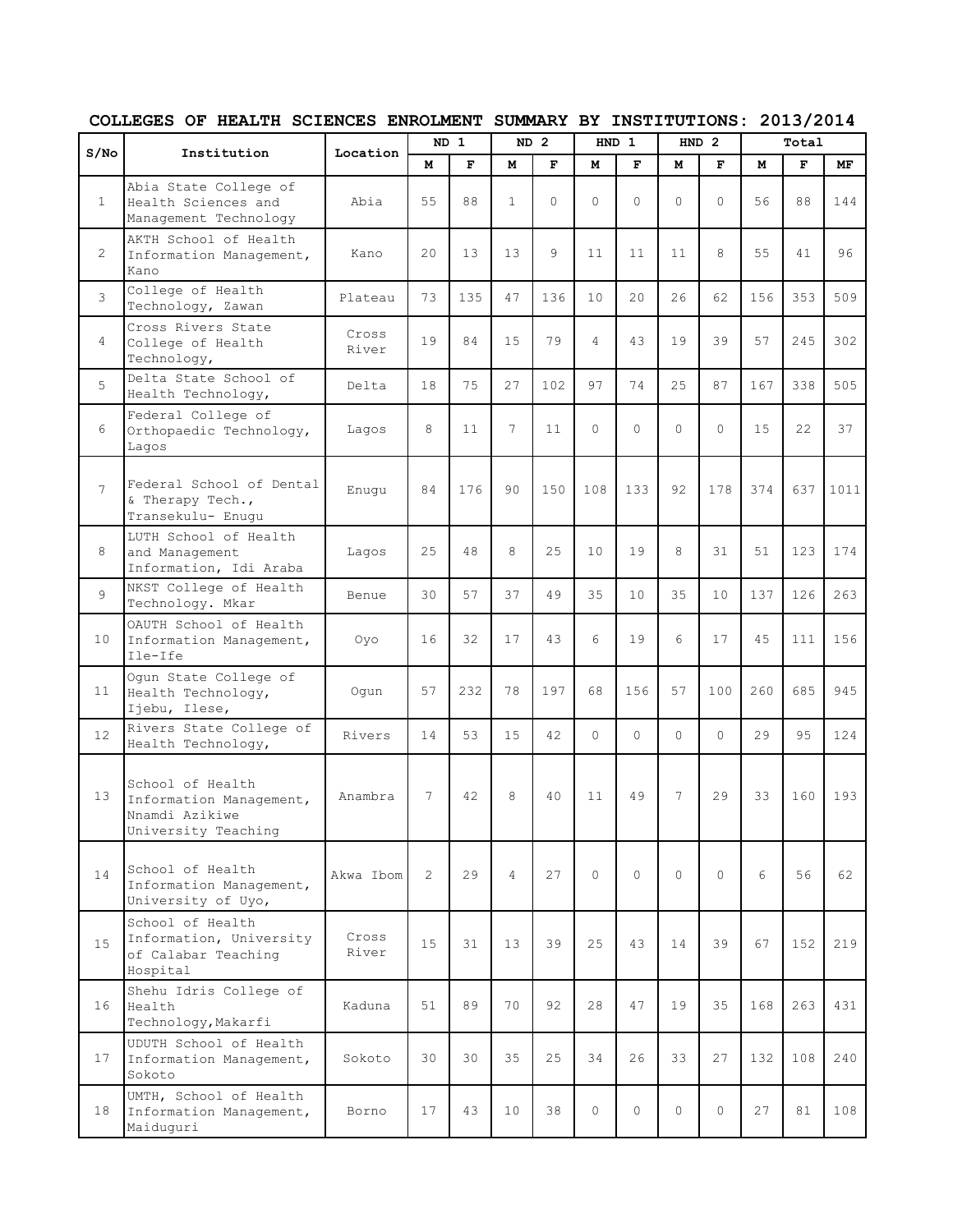|                  |                                                                                      |                |                | $ND$ 1       |                | ND <sub>2</sub> |                | HND 1    |          | HND <sub>2</sub> |     | Total |      |
|------------------|--------------------------------------------------------------------------------------|----------------|----------------|--------------|----------------|-----------------|----------------|----------|----------|------------------|-----|-------|------|
| S/N <sub>O</sub> | Institution                                                                          | Location       | M              | $\mathbf{F}$ | M              | $\mathbf F$     | M              | F        | M        | F                | M   | F     | MF   |
| $\mathbf{1}$     | Abia State College of<br>Health Sciences and<br>Management Technology                | Abia           | 55             | 88           | $\mathbf{1}$   | $\Omega$        | $\Omega$       | $\Omega$ | $\Omega$ | $\Omega$         | 56  | 88    | 144  |
| 2                | AKTH School of Health<br>Information Management,<br>Kano                             | Kano           | 20             | 13           | 13             | 9               | 11             | 11       | 11       | 8                | 55  | 41    | 96   |
| 3                | College of Health<br>Technology, Zawan                                               | Plateau        | 73             | 135          | 47             | 136             | 10             | 20       | 26       | 62               | 156 | 353   | 509  |
| $\overline{4}$   | Cross Rivers State<br>College of Health<br>Technology,                               | Cross<br>River | 19             | 84           | 1.5            | 79              | $\overline{4}$ | 43       | 19       | 39               | 57  | 245   | 302  |
| 5                | Delta State School of<br>Health Technology,                                          | Delta          | 18             | 75           | 27             | 102             | 97             | 74       | 25       | 87               | 167 | 338   | 505  |
| 6                | Federal College of<br>Orthopaedic Technology,<br>Lagos                               | Lagos          | 8              | 11           | 7              | 11              | $\Omega$       | $\Omega$ | $\Omega$ | $\Omega$         | 15  | 22    | 37   |
| 7                | Federal School of Dental<br>& Therapy Tech.,<br>Transekulu- Enugu                    | Enuqu          | 84             | 176          | 90             | 150             | 108            | 133      | 92       | 178              | 374 | 637   | 1011 |
| 8                | LUTH School of Health<br>and Management<br>Information, Idi Araba                    | Lagos          | 25             | 48           | 8              | 25              | 10             | 19       | 8        | 31               | 51  | 123   | 174  |
| 9                | NKST College of Health<br>Technology. Mkar                                           | Benue          | 30             | 57           | 37             | 49              | 35             | 10       | 35       | 10               | 137 | 126   | 263  |
| 10               | OAUTH School of Health<br>Information Management,<br>Ile-Ife                         | Oyo            | 16             | 32           | 17             | 43              | 6              | 19       | 6        | 17               | 45  | 111   | 156  |
| 11               | Ogun State College of<br>Health Technology,<br>Ijebu, Ilese,                         | Oqun           | 57             | 232          | 78             | 197             | 68             | 156      | 57       | 100              | 260 | 685   | 945  |
| 12               | Rivers State College of<br>Health Technology,                                        | Rivers         | 14             | 53           | 15             | 42              | $\Omega$       | $\Omega$ | $\Omega$ | $\Omega$         | 29  | 95    | 124  |
| 13               | School of Health<br>Information Management,<br>Nnamdi Azikiwe<br>University Teaching | Anambra        | 7              | 42           | 8              | 40              | 11             | 49       | 7        | 29               | 33  | 160   | 193  |
| 14               | School of Health<br>Information Management,<br>University of Uyo,                    | Akwa Ibom      | $\overline{2}$ | 29           | $\overline{4}$ | 27              | $\Omega$       | $\Omega$ | $\Omega$ | $\Omega$         | 6   | 56    | 62   |
| 15               | School of Health<br>Information, University<br>of Calabar Teaching<br>Hospital       | Cross<br>River | 15             | 31           | 13             | 39              | 25             | 43       | 14       | 39               | 67  | 152   | 219  |
| 16               | Shehu Idris College of<br>Health<br>Technology, Makarfi                              | Kaduna         | 51             | 89           | 70             | 92              | 28             | 47       | 19       | 35               | 168 | 263   | 431  |
| 17               | UDUTH School of Health<br>Information Management,<br>Sokoto                          | Sokoto         | 30             | 30           | 35             | 25              | 34             | 26       | 33       | 27               | 132 | 108   | 240  |
| 18               | UMTH, School of Health<br>Information Management,<br>Maiduguri                       | Borno          | 17             | 43           | 10             | 38              | $\Omega$       | 0        | 0        | 0                | 27  | 81    | 108  |

## **COLLEGES OF HEALTH SCIENCES ENROLMENT SUMMARY BY INSTITUTIONS: 2013/2014**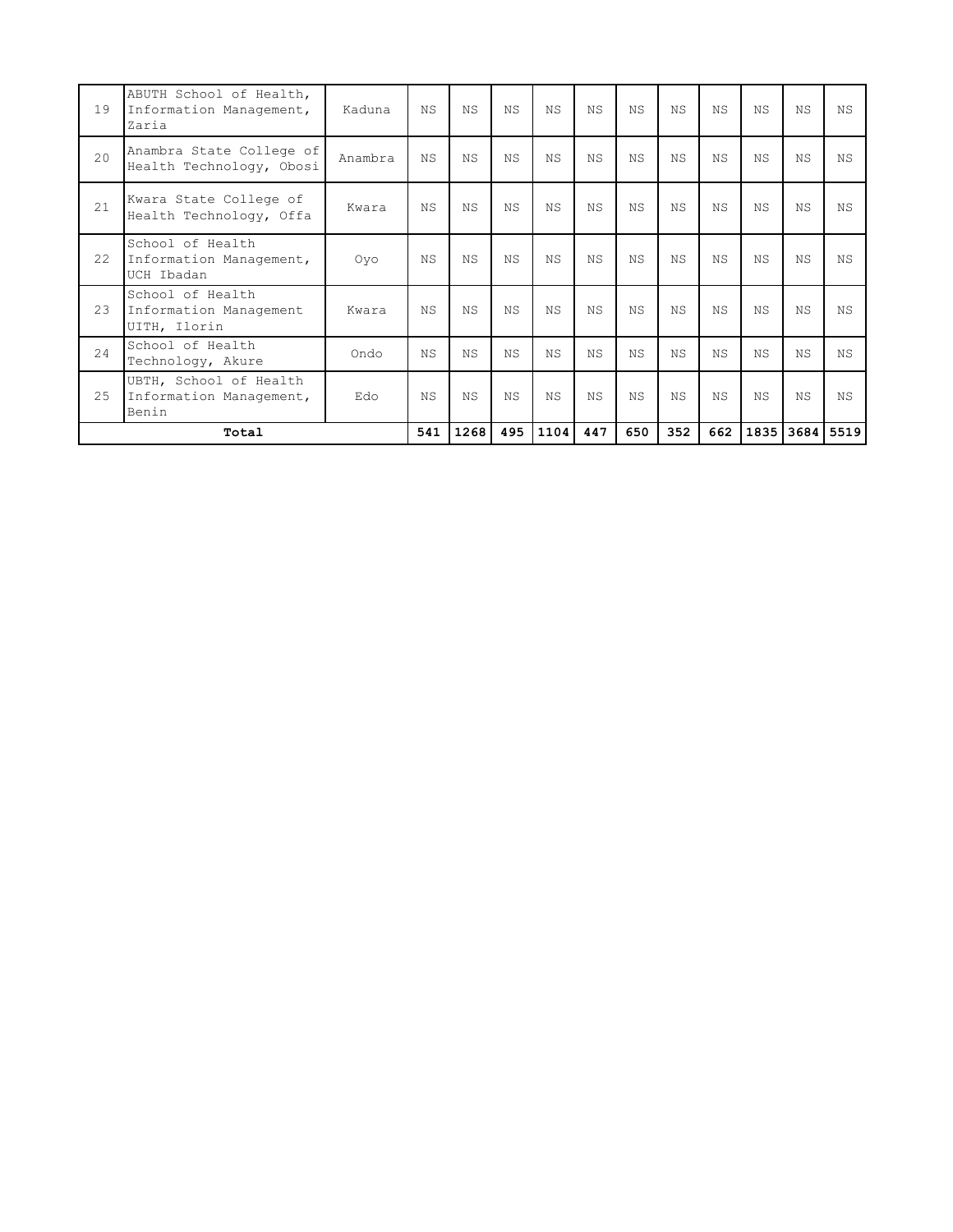| 19 | ABUTH School of Health,<br>Information Management,<br>Zaria | Kaduna  | NS.       | NS.       | ΝS  | NS.       | NS.       | N.S       | NS.       | NS  | N.S       | <b>NS</b> | <b>NS</b> |
|----|-------------------------------------------------------------|---------|-----------|-----------|-----|-----------|-----------|-----------|-----------|-----|-----------|-----------|-----------|
| 20 | Anambra State College of<br>Health Technology, Obosi        | Anambra | NS.       | NS.       | ΝS  | <b>NS</b> | NS.       | ΝS        | NS.       | ΝS  | <b>NS</b> | <b>NS</b> | ΝS        |
| 21 | Kwara State College of<br>Health Technology, Offa           | Kwara   | <b>NS</b> | NS.       | ΝS  | NS.       | <b>NS</b> | ΝS        | NS.       | ΝS  | <b>NS</b> | <b>NS</b> | <b>NS</b> |
| 22 | School of Health<br>Information Management,<br>UCH Ibadan   | Oyo     | <b>NS</b> | N.S       | N.S | N.S       | N.S.      | N.S       | N.S       | N.S | N.S       | <b>NS</b> | <b>NS</b> |
| 23 | School of Health<br>Information Management<br>UITH, Ilorin  | Kwara   | <b>NS</b> | <b>NS</b> | ΝS  | N.S       | N.S.      | <b>NS</b> | <b>NS</b> | ΝS  | <b>NS</b> | <b>NS</b> | <b>NS</b> |
| 24 | School of Health<br>Technology, Akure                       | Ondo    | <b>NS</b> | <b>NS</b> | ΝS  | NS.       | <b>NS</b> | NS.       | <b>NS</b> | ΝS  | NS.       | ΝS        | ΝS        |
| 25 | UBTH, School of Health<br>Information Management,<br>Benin  | Edo     | <b>NS</b> | <b>NS</b> | ΝS  | <b>NS</b> | <b>NS</b> | ΝS        | NS.       | ΝS  | <b>NS</b> | <b>NS</b> | <b>NS</b> |
|    | Total                                                       |         | 541       | 1268      | 495 | 1104      | 447       | 650       | 352       | 662 | 1835      |           | 3684 5519 |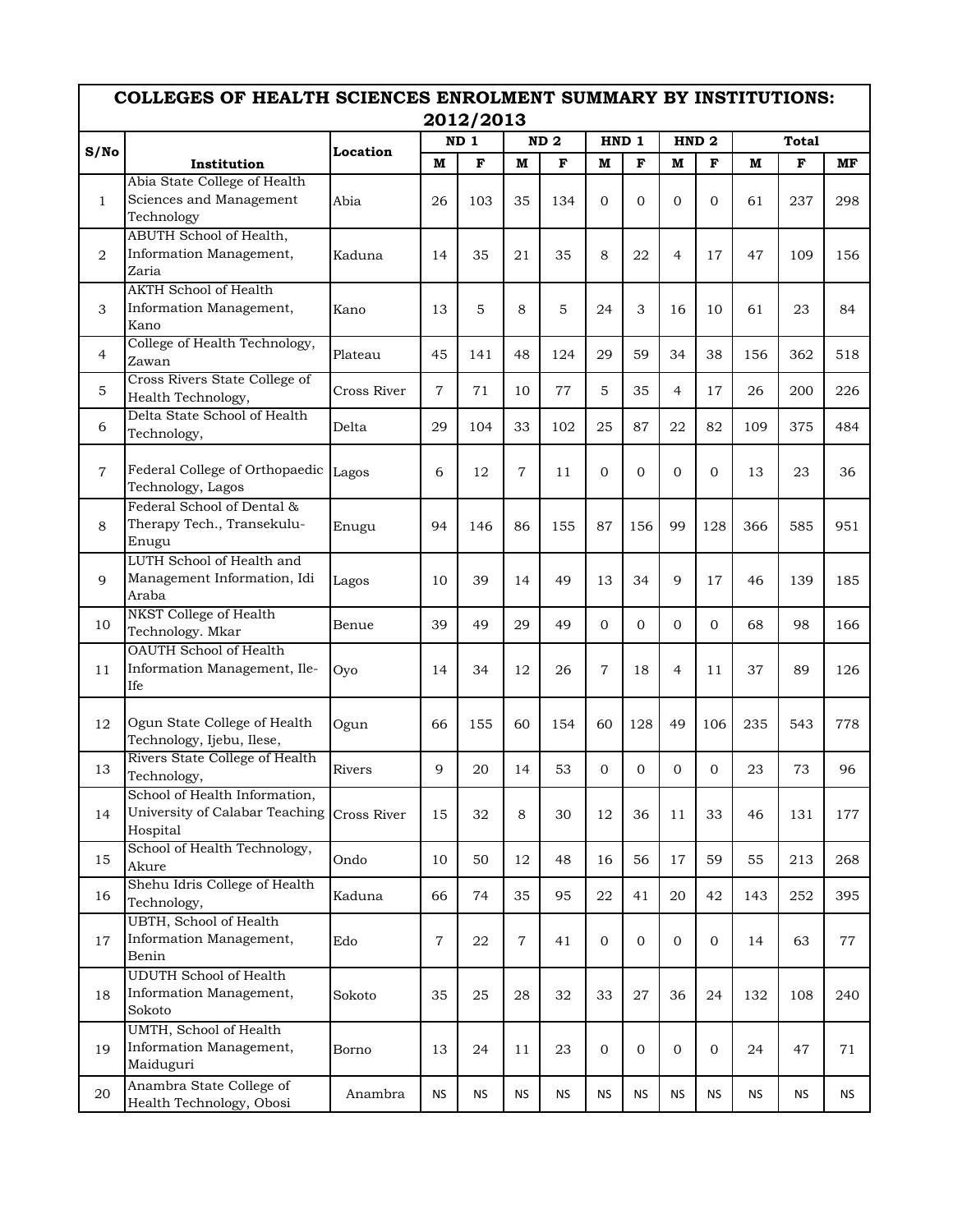|                | COLLEGES OF HEALTH SCIENCES ENROLMENT SUMMARY BY INSTITUTIONS:<br>2012/2013<br>ND <sub>1</sub><br>ND <sub>2</sub><br>HND <sub>1</sub><br>HND <sub>2</sub><br>Total |             |                |             |                |           |                |              |                |              |           |             |     |  |  |
|----------------|--------------------------------------------------------------------------------------------------------------------------------------------------------------------|-------------|----------------|-------------|----------------|-----------|----------------|--------------|----------------|--------------|-----------|-------------|-----|--|--|
|                |                                                                                                                                                                    |             |                |             |                |           |                |              |                |              |           |             |     |  |  |
| S/No           |                                                                                                                                                                    | Location    |                |             |                |           |                |              |                |              |           |             |     |  |  |
|                | Institution                                                                                                                                                        |             | M              | $\mathbf F$ | M              | F         | м              | $\mathbf F$  | M              | F            | M         | $\mathbf F$ | MF  |  |  |
| $\mathbf{1}$   | Abia State College of Health<br>Sciences and Management<br>Technology                                                                                              | Abia        | 26             | 103         | 35             | 134       | $\mathbf{0}$   | $\mathbf{O}$ | $\overline{0}$ | $\mathbf{0}$ | 61        | 237         | 298 |  |  |
| 2              | ABUTH School of Health,<br>Information Management,<br>Zaria                                                                                                        | Kaduna      | 14             | 35          | 21             | 35        | 8              | 22           | $\overline{4}$ | 17           | 47        | 109         | 156 |  |  |
| 3              | <b>AKTH School of Health</b><br>Information Management,<br>Kano                                                                                                    | Kano        | 13             | 5           | 8              | 5         | 24             | 3            | 16             | 10           | 61        | 23          | 84  |  |  |
| $\overline{4}$ | College of Health Technology,<br>Zawan                                                                                                                             | Plateau     | 45             | 141         | 48             | 124       | 29             | 59           | 34             | 38           | 156       | 362         | 518 |  |  |
| 5              | Cross Rivers State College of<br>Health Technology,                                                                                                                | Cross River | $\overline{7}$ | 71          | 10             | 77        | 5              | 35           | $\overline{4}$ | 17           | 26        | 200         | 226 |  |  |
| 6              | Delta State School of Health<br>Technology,                                                                                                                        | Delta       | 29             | 104         | 33             | 102       | 25             | 87           | 22             | 82           | 109       | 375         | 484 |  |  |
| $\overline{7}$ | Federal College of Orthopaedic<br>Technology, Lagos                                                                                                                | Lagos       | 6              | 12          | $\tau$         | 11        | $\Omega$       | $\Omega$     | $\overline{0}$ | $\Omega$     | 13        | 23          | 36  |  |  |
| 8              | Federal School of Dental &<br>Therapy Tech., Transekulu-<br>Enugu                                                                                                  | Enugu       | 94             | 146         | 86             | 155       | 87             | 156          | 99             | 128          | 366       | 585         | 951 |  |  |
| 9              | LUTH School of Health and<br>Management Information, Idi<br>Araba                                                                                                  | Lagos       | 10             | 39          | 14             | 49        | 13             | 34           | 9              | 17           | 46        | 139         | 185 |  |  |
| 10             | NKST College of Health<br>Technology. Mkar                                                                                                                         | Benue       | 39             | 49          | 29             | 49        | $\Omega$       | $\Omega$     | $\Omega$       | $\Omega$     | 68        | 98          | 166 |  |  |
| 11             | OAUTH School of Health<br>Information Management, Ile-<br>Ife                                                                                                      | Oyo         | 14             | 34          | 12             | 26        | $\overline{7}$ | 18           | $\overline{4}$ | 11           | 37        | 89          | 126 |  |  |
| 12             | Ogun State College of Health<br>Technology, Ijebu, Ilese,                                                                                                          | Ogun        | 66             | 155         | 60             | 154       | 60             | 128          | 49             | 106          | 235       | 543         | 778 |  |  |
| 13             | Rivers State College of Health<br>Technology,                                                                                                                      | Rivers      | 9              | 20          | 14             | 53        | $\Omega$       | $\mathbf{0}$ | $\Omega$       | 0            | 23        | 73          | 96  |  |  |
| 14             | School of Health Information,<br>University of Calabar Teaching<br>Hospital                                                                                        | Cross River | 15             | 32          | 8              | 30        | 12             | 36           | 11             | 33           | 46        | 131         | 177 |  |  |
| 15             | School of Health Technology,<br>Akure                                                                                                                              | Ondo        | 10             | 50          | 12             | 48        | 16             | 56           | 17             | 59           | 55        | 213         | 268 |  |  |
| 16             | Shehu Idris College of Health<br>Technology,                                                                                                                       | Kaduna      | 66             | 74          | 35             | 95        | 22             | 41           | 20             | 42           | 143       | 252         | 395 |  |  |
| 17             | UBTH, School of Health<br>Information Management,<br>Benin                                                                                                         | Edo         | $\overline{7}$ | 22          | $\overline{7}$ | 41        | $\mathbf{0}$   | $\mathbf{0}$ | $\mathbf{0}$   | $\mathbf{0}$ | 14        | 63          | 77  |  |  |
| 18             | <b>UDUTH School of Health</b><br>Information Management,<br>Sokoto                                                                                                 | Sokoto      | 35             | 25          | 28             | 32        | 33             | 27           | 36             | 24           | 132       | 108         | 240 |  |  |
| 19             | <b>UMTH, School of Health</b><br>Information Management,<br>Maiduguri                                                                                              | Borno       | 13             | 24          | 11             | 23        | $\mathbf{0}$   | $\mathbf{0}$ | 0              | $\mathbf{0}$ | 24        | 47          | 71  |  |  |
| 20             | Anambra State College of<br>Health Technology, Obosi                                                                                                               | Anambra     | <b>NS</b>      | <b>NS</b>   | <b>NS</b>      | <b>NS</b> | <b>NS</b>      | <b>NS</b>    | <b>NS</b>      | <b>NS</b>    | <b>NS</b> | <b>NS</b>   | NS  |  |  |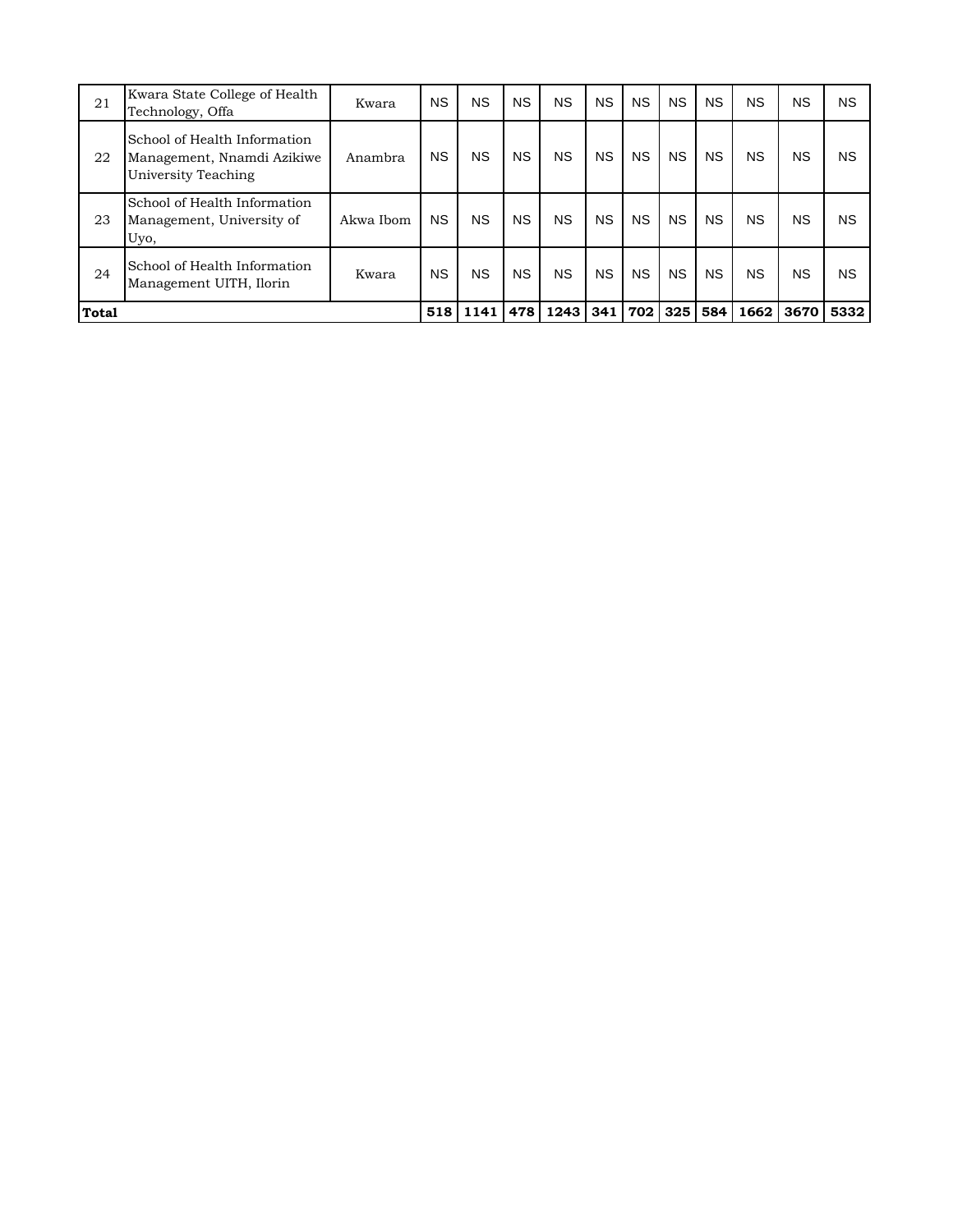| 21    | Kwara State College of Health<br>Technology, Offa                                 | Kwara     | <b>NS</b> | <b>NS</b> | <b>NS</b> | <b>NS</b> | <b>NS</b> | <b>NS</b> | <b>NS</b> | <b>NS</b> | <b>NS</b> | <b>NS</b> | <b>NS</b> |
|-------|-----------------------------------------------------------------------------------|-----------|-----------|-----------|-----------|-----------|-----------|-----------|-----------|-----------|-----------|-----------|-----------|
| 22    | School of Health Information<br>Management, Nnamdi Azikiwe<br>University Teaching | Anambra   | <b>NS</b> | <b>NS</b> | <b>NS</b> | <b>NS</b> | <b>NS</b> | <b>NS</b> | <b>NS</b> | <b>NS</b> | <b>NS</b> | <b>NS</b> | <b>NS</b> |
| 23    | School of Health Information<br>Management, University of<br>Uyo,                 | Akwa Ibom | <b>NS</b> | <b>NS</b> | <b>NS</b> | <b>NS</b> | <b>NS</b> | <b>NS</b> | <b>NS</b> | <b>NS</b> | <b>NS</b> | <b>NS</b> | <b>NS</b> |
| 24    | School of Health Information<br>Management UITH, Ilorin                           | Kwara     | <b>NS</b> | <b>NS</b> | <b>NS</b> | <b>NS</b> | <b>NS</b> | <b>NS</b> | <b>NS</b> | <b>NS</b> | <b>NS</b> | <b>NS</b> | <b>NS</b> |
| Total |                                                                                   |           | 518       | 1141      | 478       | 1243 341  |           | 702 l     | 325       | 584       | 1662      | 3670      | 5332      |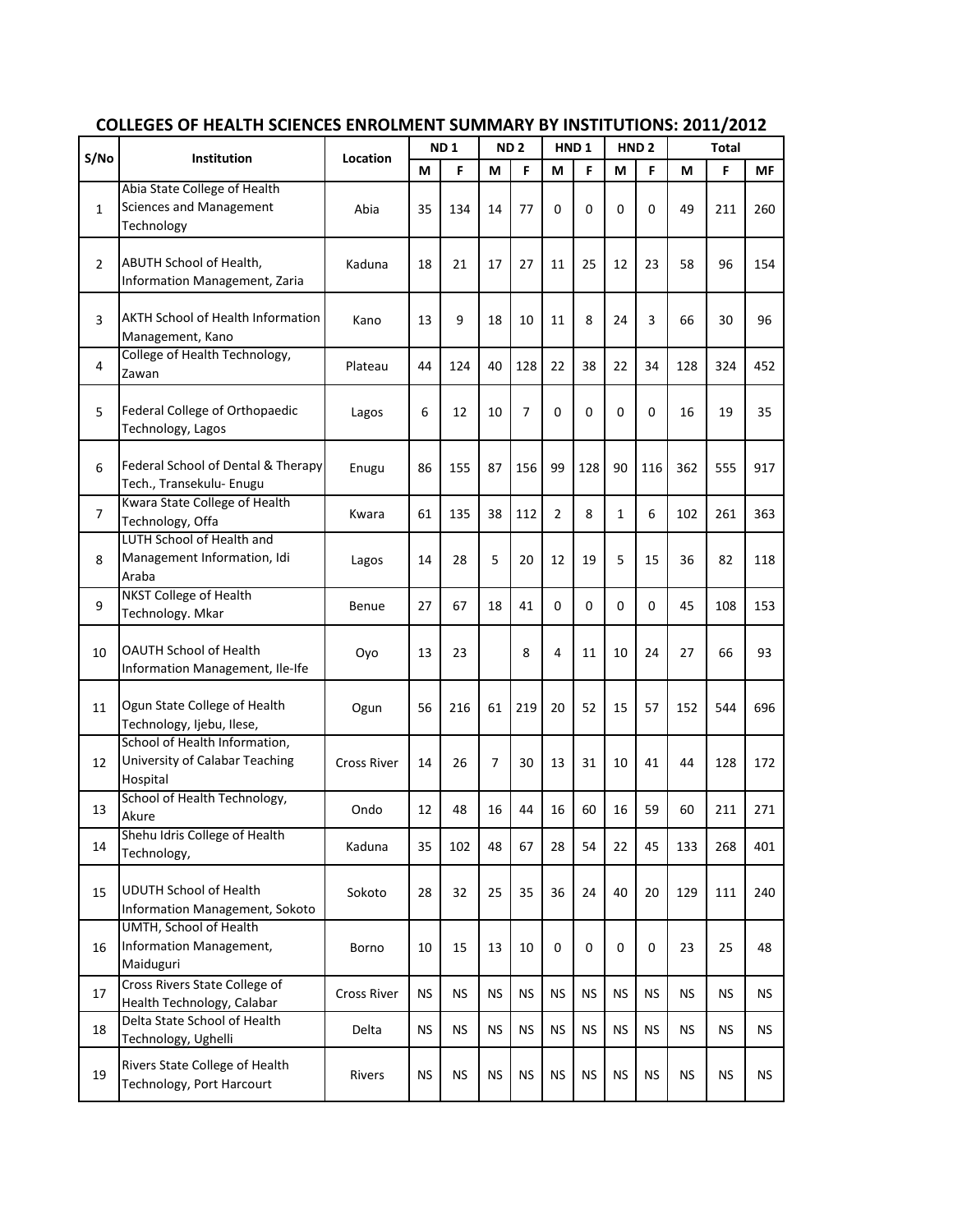| S/No           |                                                                              |                    |           | ND <sub>1</sub> |                | ND <sub>2</sub> |                      | HND <sub>1</sub> |           | HND <sub>2</sub> |           | Total     |     |
|----------------|------------------------------------------------------------------------------|--------------------|-----------|-----------------|----------------|-----------------|----------------------|------------------|-----------|------------------|-----------|-----------|-----|
|                | <b>Institution</b>                                                           | Location           | M         | F               | M              | F               | M                    | F                | M         | F                | М         | F.        | MF  |
| 1              | Abia State College of Health<br><b>Sciences and Management</b><br>Technology | Abia               | 35        | 134             | 14             | 77              | 0                    | 0                | 0         | 0                | 49        | 211       | 260 |
| 2              | ABUTH School of Health,<br><b>Information Management, Zaria</b>              | Kaduna             | 18        | 21              | 17             | 27              | 11                   | 25               | 12        | 23               | 58        | 96        | 154 |
| 3              | AKTH School of Health Information<br>Management, Kano                        | Kano               | 13        | 9               | 18             | 10              | 11                   | 8                | 24        | 3                | 66        | 30        | 96  |
| 4              | College of Health Technology,<br>Zawan                                       | Plateau            | 44        | 124             | 40             | 128             | 22                   | 38               | 22        | 34               | 128       | 324       | 452 |
| 5              | Federal College of Orthopaedic<br>Technology, Lagos                          | Lagos              | 6         | 12              | 10             | 7               | 0                    | 0                | 0         | 0                | 16        | 19        | 35  |
| 6              | Federal School of Dental & Therapy<br>Tech., Transekulu- Enugu               | Enugu              | 86        | 155             | 87             | 156             | 99                   | 128              | 90        | 116              | 362       | 555       | 917 |
| $\overline{7}$ | Kwara State College of Health<br>Technology, Offa                            | Kwara              | 61        | 135             | 38             | 112             | $\overline{2}$       | 8                | 1         | 6                | 102       | 261       | 363 |
| 8              | LUTH School of Health and<br>Management Information, Idi<br>Araba            | Lagos              | 14        | 28              | 5              | 20              | 12                   | 19               | 5         | 15               | 36        | 82        | 118 |
| 9              | <b>NKST College of Health</b><br>Technology. Mkar                            | Benue              | 27        | 67              | 18             | 41              | 0                    | 0                | $\Omega$  | 0                | 45        | 108       | 153 |
| 10             | OAUTH School of Health<br>Information Management, Ile-Ife                    | Oyo                | 13        | 23              |                | 8               | 4                    | 11               | 10        | 24               | 27        | 66        | 93  |
| 11             | Ogun State College of Health<br>Technology, Ijebu, Ilese,                    | Ogun               | 56        | 216             | 61             | 219             | 20                   | 52               | 15        | 57               | 152       | 544       | 696 |
| 12             | School of Health Information,<br>University of Calabar Teaching<br>Hospital  | <b>Cross River</b> | 14        | 26              | $\overline{7}$ | 30              | 13                   | 31               | 10        | 41               | 44        | 128       | 172 |
| 13             | School of Health Technology,<br>Akure                                        | Ondo               | 12        | 48              | 16             | 44              | 16                   | 60               | 16        | 59               | 60        | 211       | 271 |
| 14             | Shehu Idris College of Health<br>Technology,                                 | Kaduna             | 35        | 102             | 48             | 67              | 28                   | 54               | 22        | 45               | 133       | 268       | 401 |
| 15             | <b>UDUTH School of Health</b><br>Information Management, Sokoto              | Sokoto             | 28        | 32              | 25             | 35              | 36                   | 24               | 40        | 20               | 129       | 111       | 240 |
| 16             | UMTH, School of Health<br>Information Management,<br>Maiduguri               | Borno              | 10        | 15              | 13             | 10              | 0                    | 0                | 0         | 0                | 23        | 25        | 48  |
| 17             | Cross Rivers State College of<br>Health Technology, Calabar                  | Cross River        | <b>NS</b> | <b>NS</b>       | <b>NS</b>      | <b>NS</b>       | <b>NS</b>            | <b>NS</b>        | <b>NS</b> | <b>NS</b>        | <b>NS</b> | <b>NS</b> | NS. |
| 18             | Delta State School of Health<br>Technology, Ughelli                          | Delta              | <b>NS</b> | <b>NS</b>       | <b>NS</b>      | <b>NS</b>       | <b>NS</b>            | <b>NS</b>        | <b>NS</b> | <b>NS</b>        | <b>NS</b> | <b>NS</b> | NS. |
| 19             | Rivers State College of Health<br>Technology, Port Harcourt                  | Rivers             | <b>NS</b> | <b>NS</b>       | <b>NS</b>      | <b>NS</b>       | $\mathsf{NS}\xspace$ | <b>NS</b>        | <b>NS</b> | <b>NS</b>        | <b>NS</b> | <b>NS</b> | NS. |

## **COLLEGES OF HEALTH SCIENCES ENROLMENT SUMMARY BY INSTITUTIONS: 2011/2012**